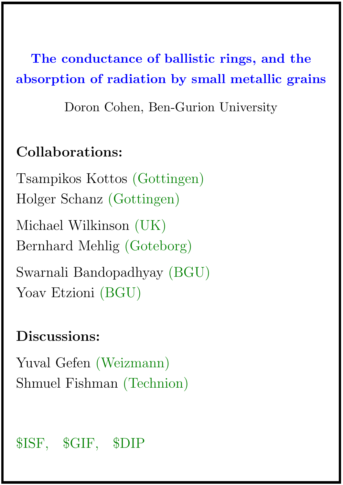The conductance of ballistic rings, and the absorption of radiation by small metallic grains

Doron Cohen, Ben-Gurion University

## Collaborations:

Tsampikos Kottos (Gottingen) Holger Schanz (Gottingen) Michael Wilkinson (UK) Bernhard Mehlig (Goteborg) Swarnali Bandopadhyay (BGU) Yoav Etzioni (BGU)

# Discussions:

Yuval Gefen (Weizmann) Shmuel Fishman (Technion)

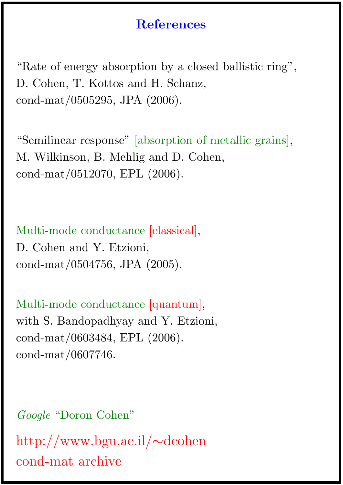### **References**

"Rate of energy absorption by a closed ballistic ring", D. Cohen, T. Kottos and H. Schanz, cond-mat/0505295, JPA (2006).

"Semilinear response" [absorption of metallic grains], M. Wilkinson, B. Mehlig and D. Cohen, cond-mat/0512070, EPL (2006).

Multi-mode conductance [classical], D. Cohen and Y. Etzioni, cond-mat/0504756, JPA (2005).

Multi-mode conductance [quantum], with S. Bandopadhyay and Y. Etzioni, cond-mat/0603484, EPL (2006). cond-mat/0607746.

Google "Doron Cohen" http://www.bgu.ac.il/∼dcohen cond-mat archive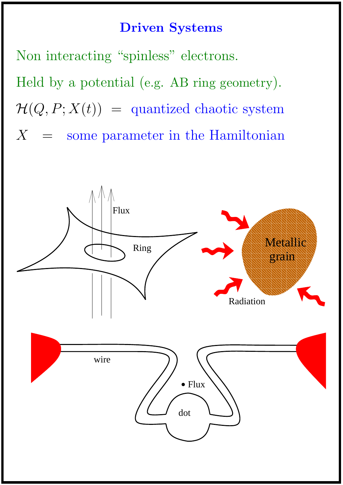### Driven Systems

Non interacting "spinless" electrons.

Held by a potential (e.g. AB ring geometry).  $\mathcal{H}(Q, P; X(t)) =$  quantized chaotic system  $X =$  some parameter in the Hamiltonian

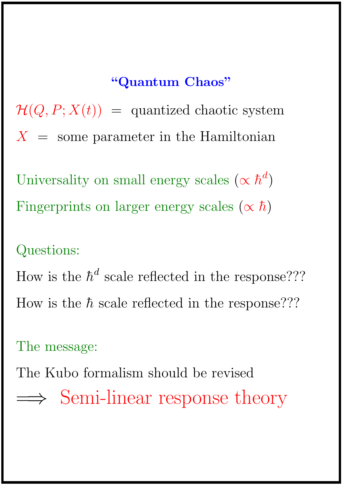# "Quantum Chaos"

 $\mathcal{H}(Q, P; X(t)) =$  quantized chaotic system  $X =$  some parameter in the Hamiltonian

Universality on small energy scales  $(\propto \hbar^d)$ Fingerprints on larger energy scales  $(\propto \hbar)$ 

### Questions:

How is the  $\hbar^d$  scale reflected in the response??? How is the  $\hbar$  scale reflected in the response???

The message:

The Kubo formalism should be revised ⇒ Semi-linear response theory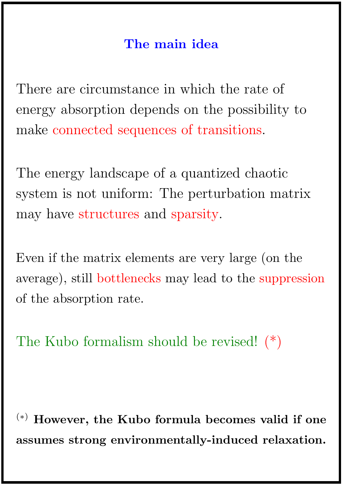### The main idea

There are circumstance in which the rate of energy absorption depends on the possibility to make connected sequences of transitions.

The energy landscape of a quantized chaotic system is not uniform: The perturbation matrix may have structures and sparsity.

Even if the matrix elements are very large (on the average), still bottlenecks may lead to the suppression of the absorption rate.

The Kubo formalism should be revised! (\*)

(∗) However, the Kubo formula becomes valid if one assumes strong environmentally-induced relaxation.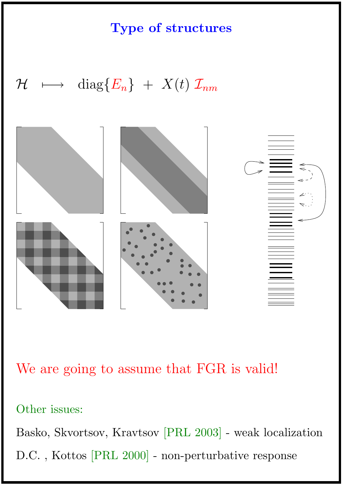Type of structures

 $\mathcal{H} \quad \longmapsto \quad \text{diag}\{E_n\} \ + \ X(t) \ \mathcal{I}_{nm}$ 



We are going to assume that FGR is valid!

#### Other issues:

Basko, Skvortsov, Kravtsov [PRL 2003] - weak localization D.C. , Kottos [PRL 2000] - non-perturbative response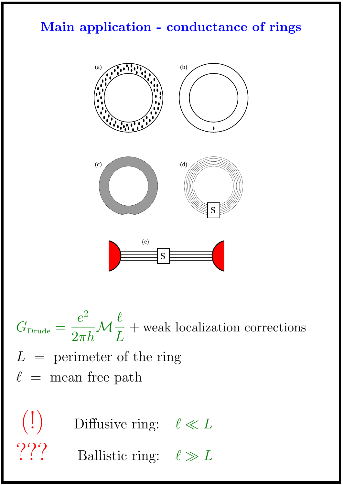### Main application - conductance of rings



 $G_{\rm Drude} =$  $e^2$  $2\pi\hbar$  ${\mathcal M}$  $\ell$ L + weak localization corrections  $L =$  perimeter of the ring  $\ell$  = mean free path

 $\binom{!}{\cdot}$  Diffusive ring:  $\ell \ll L$ ??? Ballistic ring:  $\ell \gg L$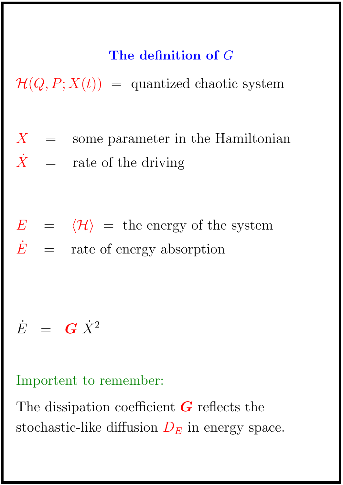## The definition of G

 $\mathcal{H}(Q, P; X(t)) =$  quantized chaotic system

- $X =$  some parameter in the Hamiltonian  $\dot{X}$  = rate of the driving
- $E = \langle \mathcal{H} \rangle =$  the energy of the system  $\dot{E}$  = rate of energy absorption

# $\dot{E}$  =  $G \dot{X}^2$

Importent to remember:

The dissipation coefficient  $G$  reflects the stochastic-like diffusion  $D<sub>E</sub>$  in energy space.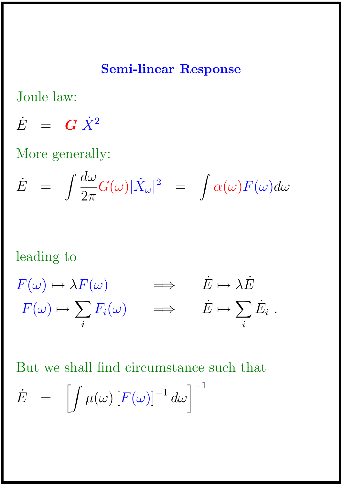#### Semi-linear Response

Joule law:

 $\dot{E}$  =  $G \dot{X}^2$ 

More generally:

$$
\dot{E} = \int \frac{d\omega}{2\pi} G(\omega) |\dot{X}_{\omega}|^2 = \int \alpha(\omega) F(\omega) d\omega
$$

#### leading to

$$
F(\omega) \mapsto \lambda F(\omega) \qquad \Longrightarrow \qquad \dot{E} \mapsto \lambda \dot{E}
$$
  

$$
F(\omega) \mapsto \sum_{i} F_{i}(\omega) \qquad \Longrightarrow \qquad \dot{E} \mapsto \sum_{i} \dot{E}_{i} .
$$

But we shall find circumstance such that  $\dot{E}$  =  $\bigg[$  $\mu(\omega)\left[F(\omega)\right]^{-1}d\omega\Big]^{-1}$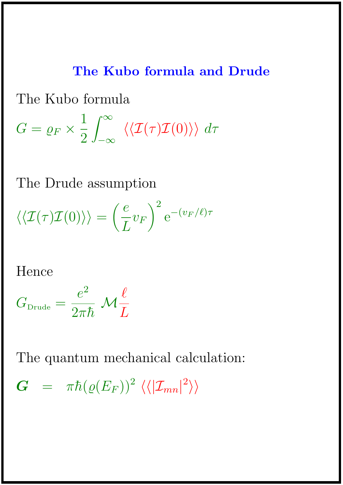### The Kubo formula and Drude

The Kubo formula

$$
G = \varrho_F \times \frac{1}{2} \int_{-\infty}^{\infty} \langle \langle \mathcal{I}(\tau) \mathcal{I}(0) \rangle \rangle \, d\tau
$$

The Drude assumption

 $\langle\langle \mathcal{I}(\tau )\mathcal{I}(0)\rangle\rangle =$  $\int e$ L  $v_F$  $\setminus^2$  $\mathrm{e}^{-(v_F/\ell)\tau}$ 

Hence

$$
G_{\text{Drude}} = \frac{e^2}{2\pi\hbar} \mathcal{M}\frac{\ell}{L}
$$

The quantum mechanical calculation:

 $\begin{array}{lcl} \bm{G} & = & \pi \hbar (\varrho(E_F))^2 \; \langle \langle | \mathcal{I}_{mn} |^2 \rangle \rangle \end{array}$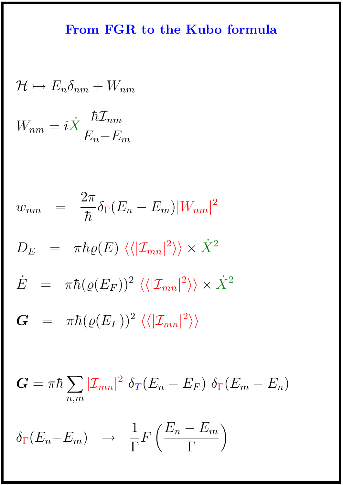### From FGR to the Kubo formula

$$
\mathcal{H} \mapsto E_n \delta_{nm} + W_{nm}
$$
\n
$$
W_{nm} = i\dot{X} \frac{\hbar \mathcal{I}_{nm}}{E_n - E_m}
$$
\n
$$
w_{nm} = \frac{2\pi}{\hbar} \delta_{\Gamma} (E_n - E_m) |W_{nm}|^2
$$
\n
$$
D_E = \pi \hbar \varrho(E) \langle \langle |\mathcal{I}_{mn}|^2 \rangle \rangle \times \dot{X}^2
$$
\n
$$
\dot{E} = \pi \hbar (\varrho(E_F))^2 \langle \langle |\mathcal{I}_{mn}|^2 \rangle \rangle \times \dot{X}^2
$$
\n
$$
G = \pi \hbar (\varrho(E_F))^2 \langle \langle |\mathcal{I}_{mn}|^2 \rangle \rangle
$$

 $\boldsymbol{G} = \pi \hbar \sum$  $n,m$  $|\mathcal{I}_{mn}|^2 \delta_T (E_n - E_F) \delta_F (E_m - E_n)$ 

$$
\delta_{\Gamma}(E_n - E_m) \rightarrow \frac{1}{\Gamma} F\left(\frac{E_n - E_m}{\Gamma}\right)
$$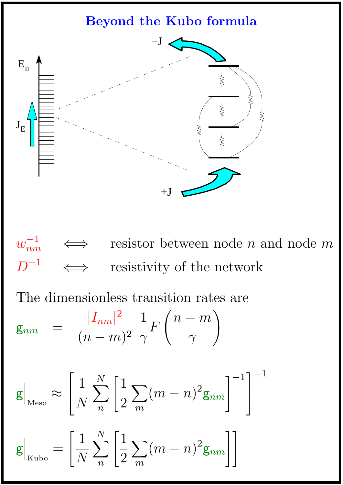### Beyond the Kubo formula



 $w_{nm}^{-1}$ resistor between node  $n$  and node  $m$ D −1 resistivity of the network

The dimensionless transition rates are

$$
\mathsf{g}_{nm} = \frac{|I_{nm}|^2}{(n-m)^2} \frac{1}{\gamma} F\left(\frac{n-m}{\gamma}\right)
$$

$$
\mathbf{g}\Big|_{\text{Meso}} \approx \left[\frac{1}{N}\sum_{n}^{N}\left[\frac{1}{2}\sum_{m}(m-n)^2\mathbf{g}_{nm}\right]^{-1}\right]^{-1}
$$

$$
\mathbf{g}\Big|_{\text{Kubo}} = \left[\frac{1}{N}\sum_{n}^{N}\left[\frac{1}{2}\sum_{m}(m-n)^{2}\mathbf{g}_{nm}\right]\right]
$$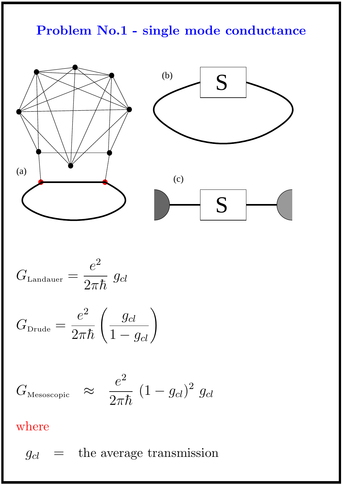### Problem No.1 - single mode conductance



$$
G_{\text{Landauer}} = \frac{e^2}{2\pi\hbar} \ g_{cl}
$$

$$
G_{\text{Drude}} = \frac{e^2}{2\pi\hbar} \left(\frac{g_{cl}}{1 - g_{cl}}\right)
$$

$$
G_{\text{Messscopic}} \quad \approx \quad \frac{e^2}{2\pi\hbar} \, \left(1 - g_{cl}\right)^2 \, g_{cl}
$$

### where

 $g_{cl}$  = the average transmission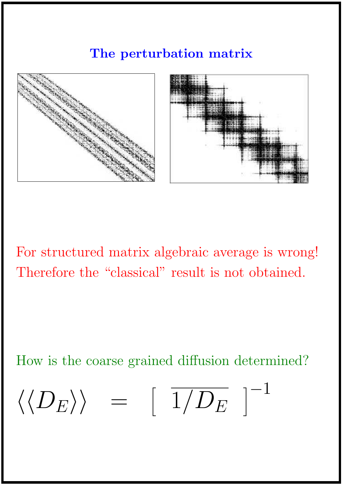### The perturbation matrix



For structured matrix algebraic average is wrong! Therefore the "classical" result is not obtained.

How is the coarse grained diffusion determined?

$$
\langle \langle D_E \rangle \rangle = [\overline{1/D_E}]^{-1}
$$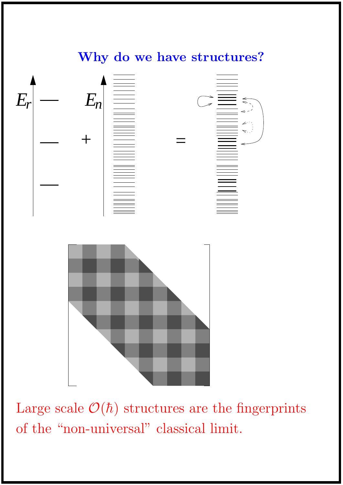

Large scale  $\mathcal{O}(\hbar)$  structures are the fingerprints of the "non-universal" classical limit.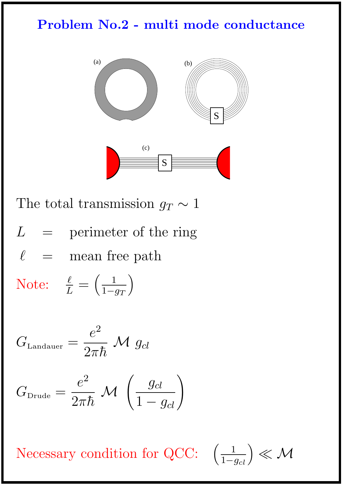### Problem No.2 - multi mode conductance



The total transmission  $g_T \sim 1$ 

 $L =$  perimeter of the ring  $\ell$   $\hspace{0.1cm}$  =  $\hspace{0.1cm}$  mean free path

Note:  $\frac{\ell}{L} = \left(\frac{1}{1-\ell}\right)$  $1-g_T$  $\setminus$ 

$$
G_{\text{\tiny{Landauer}}} = \frac{e^2}{2\pi\hbar} \mathrel{{\mathcal M}} g_{cl}
$$

$$
G_{\text{Drude}} = \frac{e^2}{2\pi\hbar} \mathcal{M} \left(\frac{g_{cl}}{1 - g_{cl}}\right)
$$

Necessary condition for QCC:

$$
\left(\tfrac{1}{1-g_{cl}}\right) \ll \mathcal{M}
$$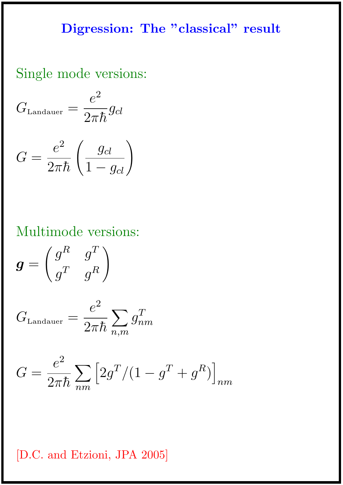#### Digression: The "classical" result

### Single mode versions:

 $G_{\text{\tiny{Landauer}}} =$  $e^2$  $2\pi\hbar$  $g_{cl}$  $G =$  $e^2$  $2\pi\hbar$  $\left(\frac{g_{cl}}{1 - g_{cl}}\right)$ 

### Multimode versions:

 $g =$  $\int g^R$   $g^T$  $g^T$   $g^R$  $\setminus$ 

$$
G_{\text{Landauer}} = \frac{e^2}{2\pi\hbar} \sum_{n,m} g_{nm}^T
$$

$$
G = \frac{e^2}{2\pi\hbar} \sum_{nm} \left[ 2g^T / (1 - g^T + g^R) \right]_{nm}
$$

#### [D.C. and Etzioni, JPA 2005]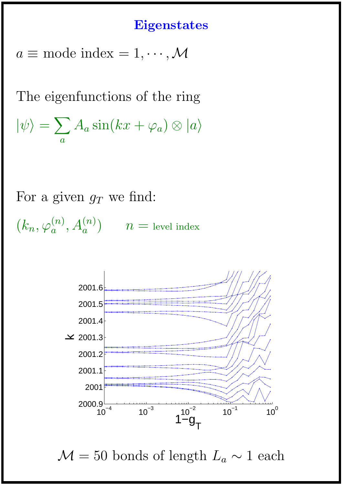#### **Eigenstates**

 $a \equiv$  mode index = 1,  $\cdots$ , M

The eigenfunctions of the ring  $|\psi\rangle = \sum$  $\overline{a}$  $A_a\sin(kx+\varphi_a)\otimes|a\rangle$ 

For a given  $g_T$  we find:  $(k_n, \varphi_a^{(n)}, A_a^{(n)})$   $n =$  level index



 $\mathcal{M} = 50$  bonds of length  $L_a \sim 1$  each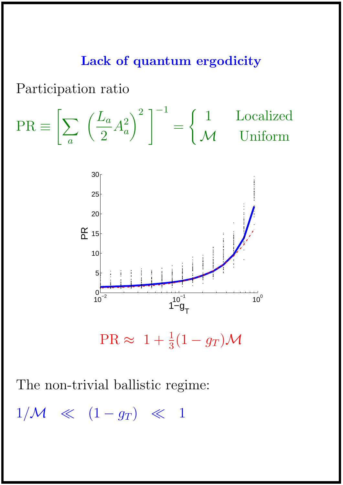#### Lack of quantum ergodicity

Participation ratio

$$
PR \equiv \left[ \sum_{a} \left( \frac{L_a}{2} A_a^2 \right)^2 \right]^{-1} = \begin{cases} 1 & \text{Localized} \\ \mathcal{M} & \text{Uniform} \end{cases}
$$



 $PR \approx 1 + \frac{1}{3}(1 - g_T)\mathcal{M}$ 

The non-trivial ballistic regime:

 $1/M \ll (1 - g_T) \ll 1$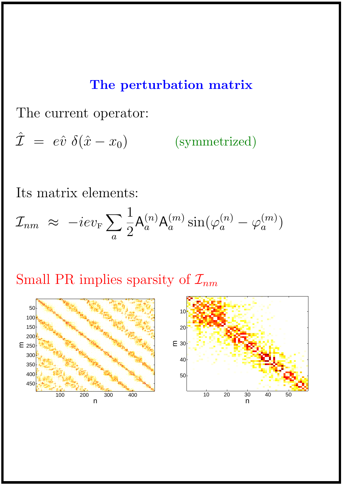#### The perturbation matrix

The current operator:

 $\hat{\mathcal{I}} = e\hat{v} \delta(\hat{x} - x_0)$ ) (symmetrized)

Its matrix elements:

 $\mathcal{I}_{nm}$   $\ \approx\ -iev_{\rm F}\sum$  $\overline{a}$ 1 2  $\mathsf{A}_a^{(n)}$  $_{a}^{(n)}\mathsf{A}_{a}^{(m)}$  $_{a}^{(m)}\sin(\varphi_{a}^{(n)}% )\cdot\sin\left( \frac{\pi\cdot\log\left( \frac{a_{1}}{a}\right) }{b_{a}^{(n)}+b_{a}^{(n)}\right) }=0\text{.} \label{eq-qt:lim}$  $\mathcal{L}^{(n)}_a-\varphi^{(m)}_a$  $\genfrac(){0cm}{0}{(m)}{a}$ 

### Small PR implies sparsity of  $\mathcal{I}_{nm}$

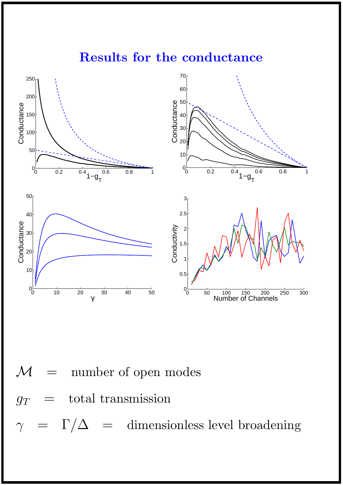### Results for the conductance





 $\Gamma/\Delta$  = dimensionless level broadening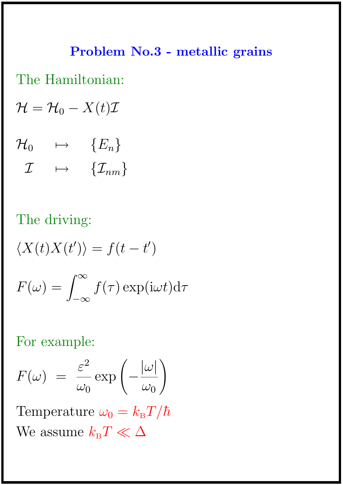# Problem No.3 - metallic grains

The Hamiltonian:

 $\mathcal{H} = \mathcal{H}_0 - X(t)\mathcal{I}$ 

 $\mathcal{H}_0 \quad \mapsto \quad \{E_n\}$  $\mathcal{I} \quad \mapsto \quad \{\mathcal{I}_{nm}\}$ 

The driving:

 $\langle X(t)X(t')\rangle = f(t-t')$  $F(\omega) = \int^{\infty}$  $-\infty$  $f(\tau) \exp(i\omega t) d\tau$ 

For example:

$$
F(\omega) = \frac{\varepsilon^2}{\omega_0} \exp\left(-\frac{|\omega|}{\omega_0}\right)
$$

Temperature  $\omega_0 = k_\text{B}T/\hbar$ We assume  $k_{\rm B}T\ll\Delta$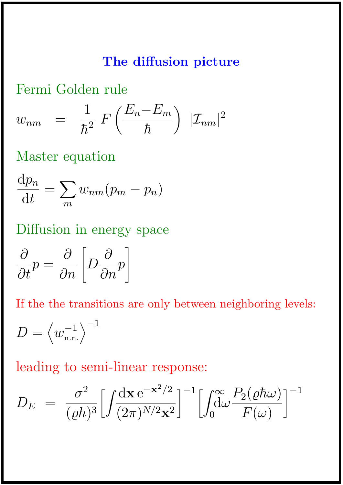### The diffusion picture

Fermi Golden rule

$$
w_{nm} = \frac{1}{\hbar^2} F\left(\frac{E_n - E_m}{\hbar}\right) |\mathcal{I}_{nm}|^2
$$

Master equation

$$
\frac{\mathrm{d}p_n}{\mathrm{d}t} = \sum_m w_{nm}(p_m - p_n)
$$

Diffusion in energy space

$$
\frac{\partial}{\partial t}p = \frac{\partial}{\partial n} \left[ D \frac{\partial}{\partial n} p \right]
$$

If the the transitions are only between neighboring levels:

$$
D=\left\langle w_{\text{n.n.}}^{-1}\right\rangle ^{-1}
$$

leading to semi-linear response:

$$
D_E = \frac{\sigma^2}{(\varrho \hbar)^3} \Big[ \int \frac{\mathrm{d} \mathbf{x} \, \mathrm{e}^{-\mathbf{x}^2/2}}{(2\pi)^{N/2} \mathbf{x}^2} \Big]^{-1} \Big[ \int_0^\infty \!\!\! \frac{P_2(\varrho \hbar \omega)}{F(\omega)} \Big]^{-1}
$$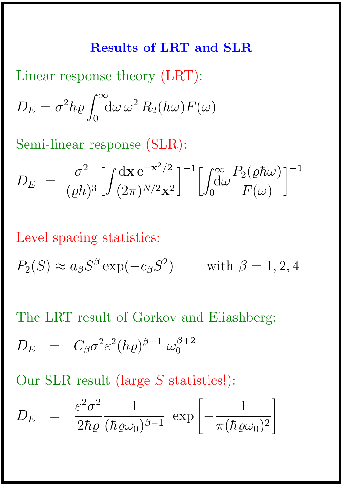#### Results of LRT and SLR

Linear response theory (LRT):  $D_E = \sigma^2 \hbar \varrho$  $\int^{\infty}$  $\overline{0}$  $\mathrm{d}\omega\,\omega^2\,R_2(\hbar\omega)F(\omega)$ 

Semi-linear response (SLR):

$$
D_E = \frac{\sigma^2}{(\varrho \hbar)^3} \Big[ \int \! \frac{\mathrm{d} \mathbf{x} \, \mathrm{e}^{-\mathbf{x}^2/2}}{(2\pi)^{N/2} \mathbf{x}^2} \Big]^{-1} \Big[ \int_0^\infty \! \frac{P_2(\varrho \hbar \omega)}{F(\omega)} \Big]^{-1}
$$

Level spacing statistics:

$$
P_2(S) \approx a_{\beta} S^{\beta} \exp(-c_{\beta} S^2) \quad \text{with } \beta = 1, 2, 4
$$

The LRT result of Gorkov and Eliashberg:

$$
D_E = C_{\beta} \sigma^2 \varepsilon^2 (\hbar \varrho)^{\beta+1} \omega_0^{\beta+2}
$$

Our SLR result (large S statistics!):

$$
D_E = \frac{\varepsilon^2 \sigma^2}{2\hbar \varrho} \frac{1}{(\hbar \varrho \omega_0)^{\beta - 1}} \exp \left[ -\frac{1}{\pi (\hbar \varrho \omega_0)^2} \right]
$$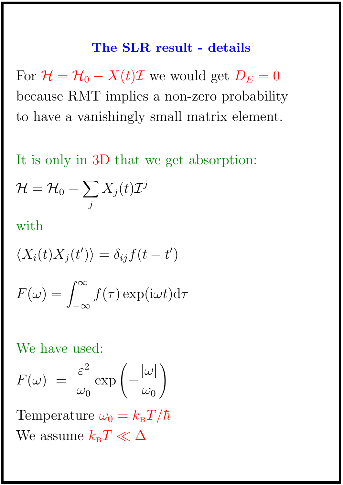#### The SLR result - details

For  $\mathcal{H} = \mathcal{H}_0 - X(t)\mathcal{I}$  we would get  $D_E = 0$ because RMT implies a non-zero probability to have a vanishingly small matrix element.

It is only in 3D that we get absorption:

$$
\mathcal{H}=\mathcal{H}_0-\sum_j X_j(t) \mathcal{I}^j
$$

with

$$
\langle X_i(t)X_j(t')\rangle = \delta_{ij}f(t-t')
$$

$$
F(\omega) = \int_{-\infty}^{\infty} f(\tau) \exp(i\omega t) d\tau
$$

We have used:

$$
F(\omega) = \frac{\varepsilon^2}{\omega_0} \exp\left(-\frac{|\omega|}{\omega_0}\right)
$$

Temperature  $\omega_0 = k_\text{B}T/\hbar$ We assume  $k_{\rm B}T\ll\Delta$